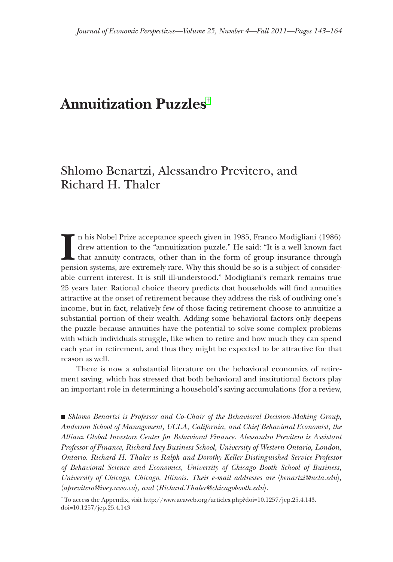# **Annuitization Puzzles**†

## Shlomo Benartzi, Alessandro Previtero, and Richard H. Thaler

pens  $\blacksquare$  n his Nobel Prize acceptance speech given in 1985, Franco Modigliani (1986) drew attention to the "annuitization puzzle." He said: "It is a well known fact that annuity contracts, other than in the form of group insurance through pension systems, are extremely rare. Why this should be so is a subject of considerable current interest. It is still ill-understood." Modigliani's remark remains true 25 years later. Rational choice theory predicts that households will find annuities attractive at the onset of retirement because they address the risk of outliving one's income, but in fact, relatively few of those facing retirement choose to annuitize a substantial portion of their wealth. Adding some behavioral factors only deepens the puzzle because annuities have the potential to solve some complex problems with which individuals struggle, like when to retire and how much they can spend each year in retirement, and thus they might be expected to be attractive for that reason as well.

There is now a substantial literature on the behavioral economics of retirement saving, which has stressed that both behavioral and institutional factors play an important role in determining a household's saving accumulations (for a review,

• Shlomo Benartzi is Professor and Co-Chair of the Behavioral Decision-Making Group, Anderson School of Management, UCLA, California, and Chief Behavioral Economist, the Allianz Global Investors Center for Behavioral Finance. Alessandro Previtero is Assistant Professor of Finance, Richard Ivey Business School, University of Western Ontario, London, Ontario. Richard H. Thaler is Ralph and Dorothy Keller Distinguished Service Professor of Behavioral Science and Economics, University of Chicago Booth School of Business, University of Chicago, Chicago, Illinois. Their e-mail addresses are  $\langle \text{benartzi@ucla.edu} \rangle$ , 〈*aprevitero@ivey.uwo.ca previtero@ivey.uwo.ca*〉*, and*〈*Richard.Thaler@chicagobooth.edu ichard.Thaler@chicagobooth.edu*〉*.*

† To access the Appendix, visit http://www.aeaweb.org/articles.php?doi=10.1257/jep.25.4.143. doi=10.1257/jep.25.4.143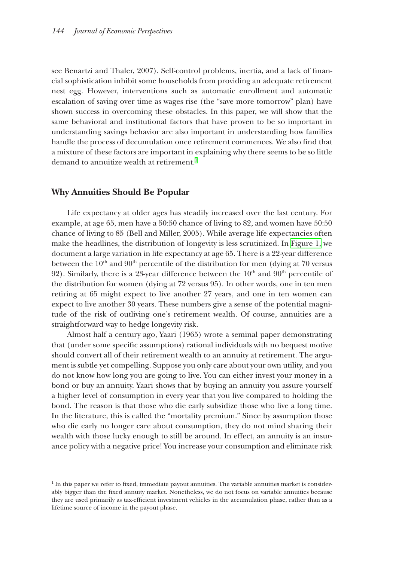see Benartzi and Thaler, 2007). Self-control problems, inertia, and a lack of financial sophistication inhibit some households from providing an adequate retirement ial sophistication inhibit some households from providing an adequate retirement nest egg. However, interventions such as automatic enrollment and automatic escalation of saving over time as wages rise (the "save more tomorrow" plan) have shown success in overcoming these obstacles. In this paper, we will show that the same behavioral and institutional factors that have proven to be so important in understanding savings behavior are also important in understanding how families handle the process of decumulation once retirement commences. We also find that a mixture of these factors are important in explaining why there seems to be so little demand to annuitize wealth at retirement. $^{\rm l}$ 

#### **Why Annuities Should Be Popular hy Annuities Should Be**

Life expectancy at older ages has steadily increased over the last century. For example, at age 65, men have a  $50:50$  chance of living to 82, and women have  $50:50$ chance of living to 85 (Bell and Miller, 2005). While average life expectancies often hance of living to 85 (Bell and Miller, 2005). While average life expectancies often make the headlines, the distribution of longevity is less scrutinized. In [Figure 1,](#page-2-0) we document a large variation in life expectancy at age  $65$ . There is a 22-year difference between the  $10<sup>th</sup>$  and  $90<sup>th</sup>$  percentile of the distribution for men (dying at 70 versus 92). Similarly, there is a 23-year difference between the  $10<sup>th</sup>$  and  $90<sup>th</sup>$  percentile of the distribution for women (dying at 72 versus 95). In other words, one in ten men retiring at 65 might expect to live another 27 years, and one in ten women can expect to live another 30 years. These numbers give a sense of the potential magnitude of the risk of outliving one's retirement wealth. Of course, annuities are a straightforward way to hedge longevity risk.

Almost half a century ago, Yaari (1965) wrote a seminal paper demonstrating that (under some specific assumptions) rational individuals with no bequest motive should convert all of their retirement wealth to an annuity at retirement. The argument is subtle yet compelling. Suppose you only care about your own utility, and you do not know how long you are going to live. You can either invest your money in a bond or buy an annuity. Yaari shows that by buying an annuity you assure yourself a higher level of consumption in every year that you live compared to holding the bond. The reason is that those who die early subsidize those who live a long time. In the literature, this is called the "mortality premium." Since by assumption those who die early no longer care about consumption, they do not mind sharing their wealth with those lucky enough to still be around. In effect, an annuity is an insurance policy with a negative price! You increase your consumption and eliminate risk

 $<sup>1</sup>$  In this paper we refer to fixed, immediate payout annuities. The variable annuities market is consider-</sup> ably bigger than the fixed annuity market. Nonetheless, we do not focus on variable annuities because they are used primarily as tax-efficient investment vehicles in the accumulation phase, rather than as a lifetime source of income in the payout phase.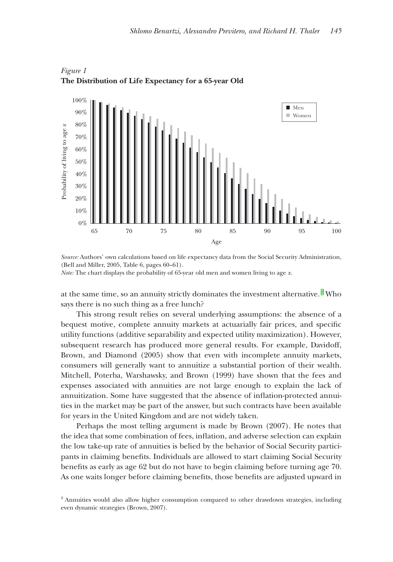

<span id="page-2-0"></span>*Figure 1*  **The Distribution of Life Expectancy for a 65-year Old**

*Source:* Authors' own calculations based on life expectancy data from the Social Security Administration, (Bell and Miller, 2005, Table 6, pages 60–61).

*Note:* The chart displays the probability of 65-year old men and women living to age *x*.

at the same time, so an annuity strictly dominates the investment alternative. $2$  Who says there is no such thing as a free lunch?

This strong result relies on several underlying assumptions: the absence of a bequest motive, complete annuity markets at actuarially fair prices, and specific utility functions (additive separability and expected utility maximization). However, subsequent research has produced more general results. For example, Davidoff, Brown, and Diamond (2005) show that even with incomplete annuity markets, consumers will generally want to annuitize a substantial portion of their wealth. Mitchell, Poterba, Warshawsky, and Brown (1999) have shown that the fees and expenses associated with annuities are not large enough to explain the lack of annuitization. Some have suggested that the absence of inflation-protected annuities in the market may be part of the answer, but such contracts have been available for years in the United Kingdom and are not widely taken.

Perhaps the most telling argument is made by Brown (2007). He notes that the idea that some combination of fees, inflation, and adverse selection can explain the low take-up rate of annuities is belied by the behavior of Social Security partici- he low take-up rate of annuities is belied by the behavior of Social Security participants in claiming benefits. Individuals are allowed to start claiming Social Security benefits as early as age 62 but do not have to begin claiming before turning age 70. As one waits longer before claiming benefits, those benefits are adjusted upward in

<sup>&</sup>lt;sup>2</sup> Annuities would also allow higher consumption compared to other drawdown strategies, including even dynamic strategies (Brown, 2007).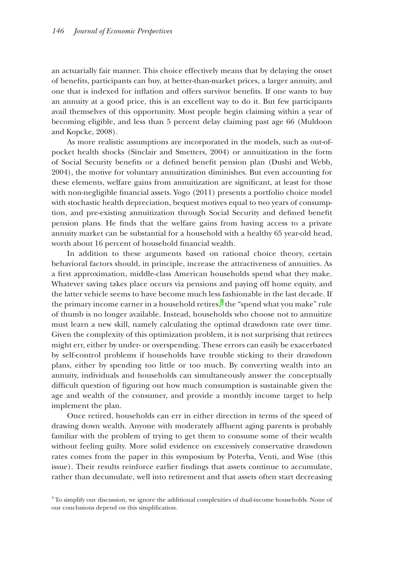an actuarially fair manner. This choice effectively means that by delaying the onset of benefits, participants can buy, at better-than-market prices, a larger annuity, and one that is indexed for inflation and offers survivor benefits. If one wants to buy an annuity at a good price, this is an excellent way to do it. But few participants avail themselves of this opportunity. Most people begin claiming within a year of becoming eligible, and less than 5 percent delay claiming past age 66 (Muldoon and Kopcke, 2008).

As more realistic assumptions are incorporated in the models, such as out-ofpocket health shocks (Sinclair and Smetters, 2004) or annuitization in the form of Social Security benefits or a defined benefit pension plan (Dushi and Webb, 2004), the motive for voluntary annuitization diminishes. But even accounting for these elements, welfare gains from annuitization are significant, at least for those with non-negligible financial assets. Yogo (2011) presents a portfolio choice model with stochastic health depreciation, bequest motives equal to two years of consumption, and pre-existing annuitization through Social Security and defined benefit pension plans. He finds that the welfare gains from having access to a private annuity market can be substantial for a household with a healthy 65 year-old head, worth about 16 percent of household financial wealth.

In addition to these arguments based on rational choice theory, certain behavioral factors should, in principle, increase the attractiveness of annuities. As a first approximation, middle-class American households spend what they make. Whatever saving takes place occurs via pensions and paying off home equity, and the latter vehicle seems to have become much less fashionable in the last decade. If the primary income earner in a household retires, $^3$  the "spend what you make" rule of thumb is no longer available. Instead, households who choose not to annuitize must learn a new skill, namely calculating the optimal drawdown rate over time. Given the complexity of this optimization problem, it is not surprising that retirees might err, either by under- or overspending. These errors can easily be exacerbated by self-control problems if households have trouble sticking to their drawdown plans, either by spending too little or too much. By converting wealth into an lans, either by spending too little or too much. By converting wealth into an annuity, individuals and households can simultaneously answer the conceptually difficult question of figuring out how much consumption is sustainable given the age and wealth of the consumer, and provide a monthly income target to help implement the plan.

Once retired, households can err in either direction in terms of the speed of drawing down wealth. Anyone with moderately affluent aging parents is probably familiar with the problem of trying to get them to consume some of their wealth without feeling guilty. More solid evidence on excessively conservative drawdown rates comes from the paper in this symposium by Poterba, Venti, and Wise (this issue). Their results reinforce earlier findings that assets continue to accumulate, rather than decumulate, well into retirement and that assets often start decreasing

<sup>3</sup> To simplify our discussion, we ignore the additional complexities of dual-income households. None of our conclusions depend on this simplification.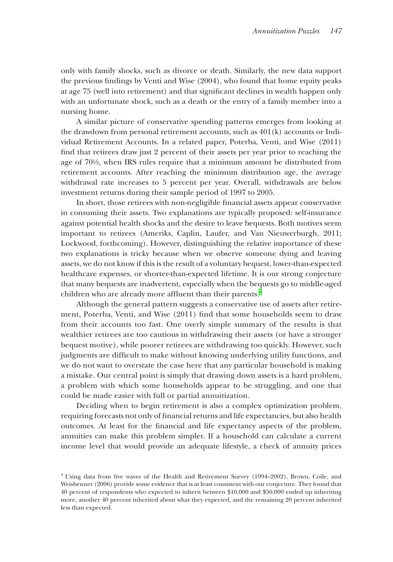only with family shocks, such as divorce or death. Similarly, the new data support nly with family shocks, such as divorce or death. Similarly, the new data support the previous findings by Venti and Wise (2004), who found that home equity peaks at age 75 (well into retirement) and that significant declines in wealth happen only with an unfortunate shock, such as a death or the entry of a family member into a nursing home.

A similar picture of conservative spending patterns emerges from looking at the drawdown from personal retirement accounts, such as  $401(k)$  accounts or Individual Retirement Accounts. In a related paper, Poterba, Venti, and Wise (2011) find that retirees draw just 2 percent of their assets per year prior to reaching the age of 70½, when IRS rules require that a minimum amount be distributed from retirement accounts. After reaching the minimum distribution age, the average withdrawal rate increases to 5 percent per year. Overall, withdrawals are below investment returns during their sample period of 1997 to 2005.

In short, those retirees with non-negligible financial assets appear conservative in consuming their assets. Two explanations are typically proposed: self-insurance against potential health shocks and the desire to leave bequests. Both motives seem important to retirees (Ameriks, Caplin, Laufer, and Van Nieuwerburgh, 2011; Lockwood, forthcoming). However, distinguishing the relative importance of these two explanations is tricky because when we observe someone dying and leaving assets, we do not know if this is the result of a voluntary bequest, lower-than-expected healthcare expenses, or shorter-than-expected lifetime. It is our strong conjecture that many bequests are inadvertent, especially when the bequests go to middle-aged children who are already more affluent than their parents.<sup>4</sup>

Although the general pattern suggests a conservative use of assets after retirement, Poterba, Venti, and Wise (2011) find that some households seem to draw from their accounts too fast. One overly simple summary of the results is that wealthier retirees are too cautious in withdrawing their assets (or have a stronger bequest motive), while poorer retirees are withdrawing too quickly. However, such judgments are difficult to make without knowing underlying utility functions, and we do not want to overstate the case here that any particular household is making a mistake. Our central point is simply that drawing down assets is a hard problem, a problem with which some households appear to be struggling, and one that problem with which some households appear to be struggling, and one that could be made easier with full or partial annuitization.

Deciding when to begin retirement is also a complex optimization problem, requiring forecasts not only of financial returns and life expectancies, but also health outcomes. At least for the financial and life expectancy aspects of the problem, annuities can make this problem simpler. If a household can calculate a current income level that would provide an adequate lifestyle, a check of annuity prices

 $4$  Using data from five waves of the Health and Retirement Survey (1994–2002), Brown, Coile, and Weisbenner (2006) provide some evidence that is at least consistent with our conjecture. They found that 40 percent of respondents who expected to inherit between \$10,000 and \$50,000 ended up inheriting more, another 40 percent inherited about what they expected, and the remaining 20 percent inherited less than expected.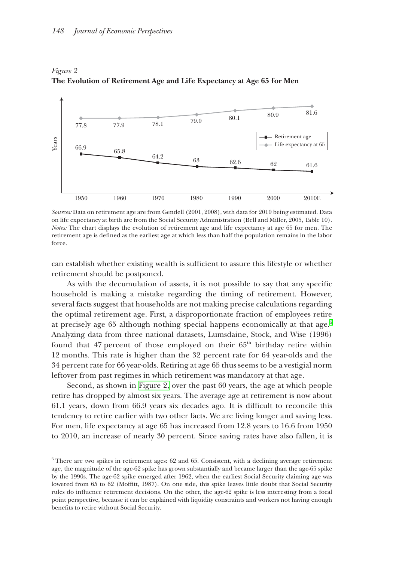

*Figure 2* **The Evolution of Retirement Age and Life Expectancy at Age 65 for Men**

*Sources:* Data on retirement age are from Gendell (2001, 2008), with data for 2010 being estimated. Data on life expectancy at birth are from the Social Security Administration (Bell and Miller, 2005, Table 10). *Notes:* The chart displays the evolution of retirement age and life expectancy at age 65 for men. The retirement age is defined as the earliest age at which less than half the population remains in the labor force.

can establish whether existing wealth is sufficient to assure this lifestyle or whether retirement should be postponed.

As with the decumulation of assets, it is not possible to say that any specific household is making a mistake regarding the timing of retirement. However, several facts suggest that households are not making precise calculations regarding the optimal retirement age. First, a disproportionate fraction of employees retirement age. First, a disproportionate fraction of employees retire at precisely age 65 although nothing special happens economically at that age. $^5$ Analyzing data from three national datasets, Lumsdaine, Stock, and Wise (1996) found that 47 percent of those employed on their 65<sup>th</sup> birthday retire within 12 months. This rate is higher than the 32 percent rate for 64 year-olds and the 34 percent rate for 66 year-olds. Retiring at age 65 thus seems to be a vestigial norm 4 percent rate for 66 year-olds. Retiring at age 65 thus seems to be a vestigial norm leftover from past regimes in which retirement was mandatory at that age.

Second, as shown in Figure 2, over the past 60 years, the age at which people retire has dropped by almost six years. The average age at retirement is now about 61.1 years, down from 66.9 years six decades ago. It is difficult to reconcile this tendency to retire earlier with two other facts. We are living longer and saving less. For men, life expectancy at age  $65$  has increased from 12.8 years to 16.6 from 1950 to 2010, an increase of nearly 30 percent. Since saving rates have also fallen, it is

 $5$  There are two spikes in retirement ages: 62 and 65. Consistent, with a declining average retirement age, the magnitude of the age-62 spike has grown substantially and became larger than the age-65 spike by the 1990s. The age-62 spike emerged after 1962, when the earliest Social Security claiming age was lowered from 65 to 62 (Moffitt, 1987). On one side, this spike leaves little doubt that Social Security rules do influence retirement decisions. On the other, the age-62 spike is less interesting from a focal point perspective, because it can be explained with liquidity constraints and workers not having enough benefits to retire without Social Security.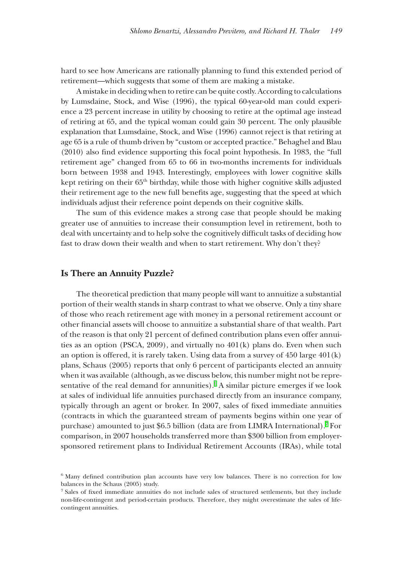hard to see how Americans are rationally planning to fund this extended period of retirement—which suggests that some of them are making a mistake.

A mistake in deciding when to retire can be quite costly. According to calculations by Lumsdaine, Stock, and Wise (1996), the typical 60-year-old man could experience a 23 percent increase in utility by choosing to retire at the optimal age instead of retiring at 65, and the typical woman could gain 30 percent. The only plausible explanation that Lumsdaine, Stock, and Wise (1996) cannot reject is that retiring at age 65 is a rule of thumb driven by "custom or accepted practice." Behaghel and Blau  $(2010)$  also find evidence supporting this focal point hypothesis. In 1983, the "full retirement age" changed from 65 to 66 in two-months increments for individuals born between 1938 and 1943. Interestingly, employees with lower cognitive skills kept retiring on their 65<sup>th</sup> birthday, while those with higher cognitive skills adjusted their retirement age to the new full benefits age, suggesting that the speed at which individuals adjust their reference point depends on their cognitive skills.

The sum of this evidence makes a strong case that people should be making greater use of annuities to increase their consumption level in retirement, both to deal with uncertainty and to help solve the cognitively difficult tasks of deciding how fast to draw down their wealth and when to start retirement. Why don't they?

#### **Is There an Annuity Puzzle? s There an Annuity**

The theoretical prediction that many people will want to annuitize a substantial portion of their wealth stands in sharp contrast to what we observe. Only a tiny share of those who reach retirement age with money in a personal retirement account or other financial assets will choose to annuitize a substantial share of that wealth. Part of the reason is that only 21 percent of defined contribution plans even offer annuities as an option (PSCA, 2009), and virtually no  $401(k)$  plans do. Even when such an option is offered, it is rarely taken. Using data from a survey of  $450$  large  $401(k)$ plans, Schaus (2005) reports that only 6 percent of participants elected an annuity when it was available (although, as we discuss below, this number might not be representative of the real demand for annunities). $6$  A similar picture emerges if we look at sales of individual life annuities purchased directly from an insurance company, typically through an agent or broker. In 2007, sales of fixed immediate annuities (contracts in which the guaranteed stream of payments begins within one year of purchase) amounted to just \$6.5 billion (data are from LIMRA International). $^7$  For comparison, in 2007 households transferred more than \$300 billion from employersponsored retirement plans to Individual Retirement Accounts (IRAs), while total

 $6$  Many defined contribution plan accounts have very low balances. There is no correction for low balances in the Schaus (2005) study.

<sup>&</sup>lt;sup>7</sup> Sales of fixed immediate annuities do not include sales of structured settlements, but they include non-life-contingent and period-certain products. Therefore, they might overestimate the sales of lifecontingent annuities.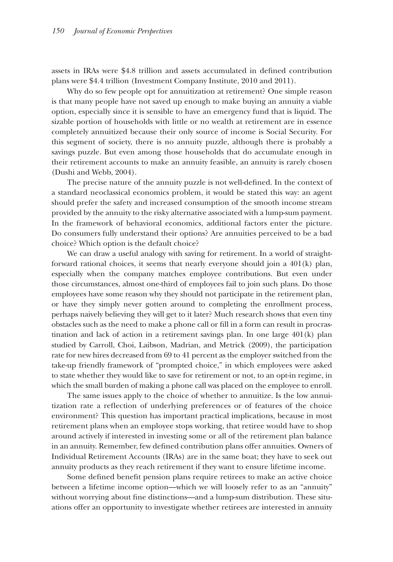assets in IRAs were \$4.8 trillion and assets accumulated in defined contribution plans were \$4.4 trillion (Investment Company Institute, 2010 and 2011).

Why do so few people opt for annuitization at retirement? One simple reason is that many people have not saved up enough to make buying an annuity a viable option, especially since it is sensible to have an emergency fund that is liquid. The sizable portion of households with little or no wealth at retirement are in essence completely annuitized because their only source of income is Social Security. For this segment of society, there is no annuity puzzle, although there is probably a savings puzzle. But even among those households that do accumulate enough in their retirement accounts to make an annuity feasible, an annuity is rarely chosen heir retirement accounts to make an annuity feasible, an annuity is rarely chosen (Dushi and Webb,  $2004$ ).

The precise nature of the annuity puzzle is not well-defined. In the context of a standard neoclassical economics problem, it would be stated this way: an agent should prefer the safety and increased consumption of the smooth income stream hould prefer the safety and increased consumption of the smooth income stream provided by the annuity to the risky alternative associated with a lump-sum payment. In the framework of behavioral economics, additional factors enter the picture. Do consumers fully understand their options? Are annuities perceived to be a bad choice? Which option is the default choice?

We can draw a useful analogy with saving for retirement. In a world of straightforward rational choices, it seems that nearly everyone should join a  $401(k)$  plan, especially when the company matches employee contributions. But even under  $\epsilon$ those circumstances, almost one-third of employees fail to join such plans. Do those employees have some reason why they should not participate in the retirement plan, or have they simply never gotten around to completing the enrollment process, perhaps naively believing they will get to it later? Much research shows that even tiny obstacles such as the need to make a phone call or fill in a form can result in procrastination and lack of action in a retirement savings plan. In one large  $401(k)$  plan studied by Carroll, Choi, Laibson, Madrian, and Metrick (2009), the participation rate for new hires decreased from 69 to 41 percent as the employer switched from the take-up friendly framework of "prompted choice," in which employees were asked to state whether they would like to save for retirement or not, to an opt-in regime, in which the small burden of making a phone call was placed on the employee to enroll.

The same issues apply to the choice of whether to annuitize. Is the low annuitize tization rate a reflection of underlying preferences or of features of the choice environment? This question has important practical implications, because in most retirement plans when an employee stops working, that retiree would have to shop around actively if interested in investing some or all of the retirement plan balance in an annuity. Remember, few defined contribution plans offer annuities. Owners of Individual Retirement Accounts (IRAs) are in the same boat; they have to seek out annuity products as they reach retirement if they want to ensure lifetime income.

Some defined benefit pension plans require retirees to make an active choice the pension plans require retirees to make an active choice between a lifetime income option—which we will loosely refer to as an "annuity" without worrying about fine distinctions—and a lump-sum distribution. These situations offer an opportunity to investigate whether retirees are interested in annuity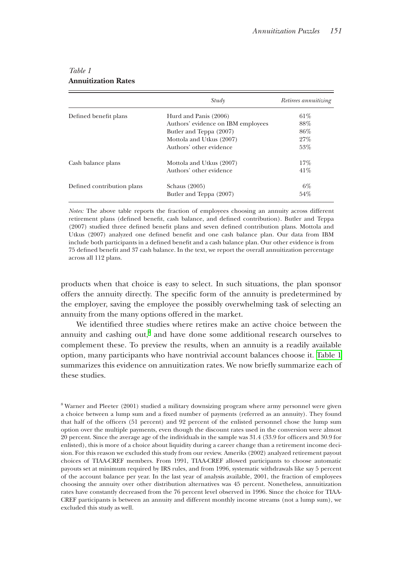|                            | Study                              | Retirees annuitizing |
|----------------------------|------------------------------------|----------------------|
| Defined benefit plans      | Hurd and Panis (2006)              | 61%                  |
|                            | Authors' evidence on IBM employees | 88%                  |
|                            | Butler and Teppa (2007)            | 86%                  |
|                            | Mottola and Utkus (2007)           | 27%                  |
|                            | Authors' other evidence            | 53%                  |
| Cash balance plans         | Mottola and Utkus (2007)           | 17%                  |
|                            | Authors' other evidence            | 41%                  |
| Defined contribution plans | Schaus (2005)                      | $6\%$                |
|                            | Butler and Teppa (2007)            | 54%                  |

#### <span id="page-8-0"></span>*Table 1* **Annuitization Rates**

*Notes:* The above table reports the fraction of employees choosing an annuity across different retirement plans (defined benefit, cash balance, and defined contribution). Butler and Teppa (2007) studied three defined benefit plans and seven defined contribution plans. Mottola and Utkus (2007) analyzed one defined benefit and one cash balance plan. Our data from IBM include both participants in a defined benefit and a cash balance plan. Our other evidence is from 75 defined benefit and 37 cash balance. In the text, we report the overall annuitization percentage across all 112 plans.

products when that choice is easy to select. In such situations, the plan sponsor offers the annuity directly. The specific form of the annuity is predetermined by the employer, saving the employee the possibly overwhelming task of selecting an annuity from the many options offered in the market.

We identified three studies where retires make an active choice between the annuity and cashing out,<sup>8</sup> and have done some additional research ourselves to complement these. To preview the results, when an annuity is a readily available option, many participants who have nontrivial account balances choose it. Table  $1$ summarizes this evidence on annuitization rates. We now briefly summarize each of these studies.

<sup>8</sup> Warner and Pleeter (2001) studied a military downsizing program where army personnel were given a choice between a lump sum and a fixed number of payments (referred as an annuity). They found that half of the officers (51 percent) and 92 percent of the enlisted personnel chose the lump sum option over the multiple payments, even though the discount rates used in the conversion were almost 20 percent. Since the average age of the individuals in the sample was 31.4 (33.9 for officers and 30.9 for enlisted), this is more of a choice about liquidity during a career change than a retirement income decision. For this reason we excluded this study from our review. Ameriks (2002) analyzed retirement payout choices of TIAA-CREF members. From 1991, TIAA-CREF allowed participants to choose automatic payouts set at minimum required by IRS rules, and from 1996, systematic withdrawals like say 5 percent of the account balance per year. In the last year of analysis available, 2001, the fraction of employees choosing the annuity over other distribution alternatives was 45 percent. Nonetheless, annuitization rates have constantly decreased from the 76 percent level observed in 1996. Since the choice for TIAA-CREF participants is between an annuity and different monthly income streams (not a lump sum), we excluded this study as well.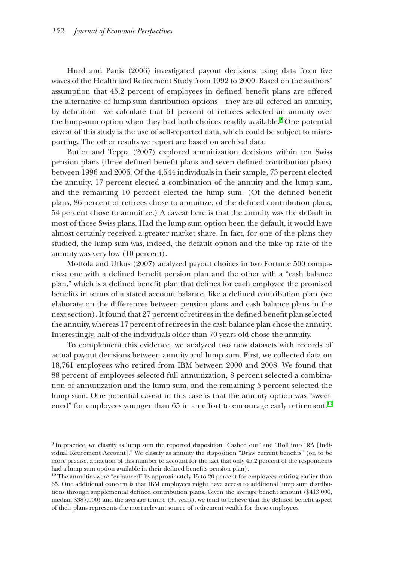Hurd and Panis (2006) investigated payout decisions using data from five waves of the Health and Retirement Study from 1992 to 2000. Based on the authors' assumption that 45.2 percent of employees in defined benefit plans are offered the alternative of lump-sum distribution options—they are all offered an annuity, by definition—we calculate that 61 percent of retirees selected an annuity over the lump-sum option when they had both choices readily available.<sup>9</sup> One potential caveat of this study is the use of self-reported data, which could be subject to misreporting. The other results we report are based on archival data.

Butler and Teppa (2007) explored annuitization decisions within ten Swiss pension plans (three defined benefit plans and seven defined contribution plans) between 1996 and 2006. Of the 4,544 individuals in their sample, 73 percent elected the annuity, 17 percent elected a combination of the annuity and the lump sum, and the remaining 10 percent elected the lump sum. (Of the defined benefit plans, 86 percent of retirees chose to annuitize; of the defined contribution plans, 54 percent chose to annuitize.) A caveat here is that the annuity was the default in most of those Swiss plans. Had the lump sum option been the default, it would have almost certainly received a greater market share. In fact, for one of the plans they studied, the lump sum was, indeed, the default option and the take up rate of the annuity was very low (10 percent).

Mottola and Utkus (2007) analyzed payout choices in two Fortune 500 companies: one with a defined benefit pension plan and the other with a "cash balance" plan," which is a defined benefit plan that defines for each employee the promised benefits in terms of a stated account balance, like a defined contribution plan (we elaborate on the differences between pension plans and cash balance plans in the next section). It found that 27 percent of retirees in the defined benefit plan selected the annuity, whereas 17 percent of retirees in the cash balance plan chose the annuity. Interestingly, half of the individuals older than 70 years old chose the annuity.

To complement this evidence, we analyzed two new datasets with records of actual payout decisions between annuity and lump sum. First, we collected data on 18,761 employees who retired from IBM between 2000 and 2008. We found that 8,761 employees who retired from IBM between 2000 and 2008. We found that 88 percent of employees selected full annuitization, 8 percent selected a combination of annuitization and the lump sum, and the remaining 5 percent selected the lump sum. One potential caveat in this case is that the annuity option was "sweetened" for employees younger than 65 in an effort to encourage early retirement. $^{10}$ 

<sup>9</sup> In practice, we classify as lump sum the reported disposition "Cashed out" and "Roll into IRA [Individual Retirement Account]." We classify as annuity the disposition "Draw current benefits" (or, to be more precise, a fraction of this number to account for the fact that only 45.2 percent of the respondents had a lump sum option available in their defined benefits pension plan).

 $10$  The annuities were "enhanced" by approximately 15 to 20 percent for employees retiring earlier than 65. One additional concern is that IBM employees might have access to additional lump sum distributions through supplemental defined contribution plans. Given the average benefit amount (\$413,000, median \$387,000) and the average tenure (30 years), we tend to believe that the defined benefit aspect of their plans represents the most relevant source of retirement wealth for these employees.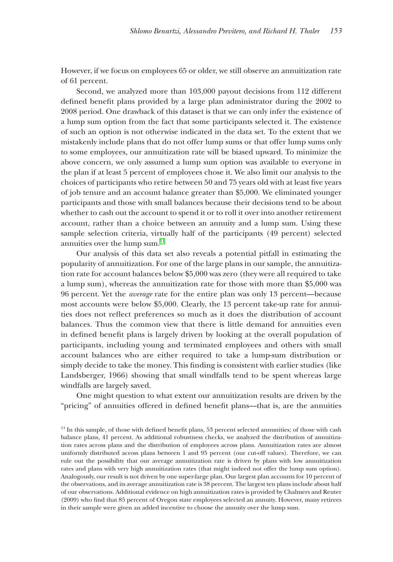However, if we focus on employees 65 or older, we still observe an annuitization rate of 61 percent.

Second, we analyzed more than 103,000 payout decisions from 112 different defined benefit plans provided by a large plan administrator during the 2002 to 2008 period. One drawback of this dataset is that we can only infer the existence of a lump sum option from the fact that some participants selected it. The existence of such an option is not otherwise indicated in the data set. To the extent that we mistakenly include plans that do not offer lump sums or that offer lump sums only to some employees, our annuitization rate will be biased upward. To minimize the above concern, we only assumed a lump sum option was available to everyone in the plan if at least 5 percent of employees chose it. We also limit our analysis to the choices of participants who retire between 50 and 75 years old with at least five years of job tenure and an account balance greater than \$5,000. We eliminated younger participants and those with small balances because their decisions tend to be about whether to cash out the account to spend it or to roll it over into another retirement account, rather than a choice between an annuity and a lump sum. Using these sample selection criteria, virtually half of the participants (49 percent) selected annuities over the lump sum. $^{\rm 11}$ 

Our analysis of this data set also reveals a potential pitfall in estimating the popularity of annuitization. For one of the large plans in our sample, the annuitization rate for account balances below \$5,000 was zero (they were all required to take a lump sum), whereas the annuitization rate for those with more than \$5,000 was 96 percent. Yet the 6 percent. Yet the *average* rate for the entire plan was only 13 percent—because rate for the entire plan was only 13 percent—because most accounts were below \$5,000. Clearly, the  $13$  percent take-up rate for annuities does not reflect preferences so much as it does the distribution of account balances. Thus the common view that there is little demand for annuities even in defined benefit plans is largely driven by looking at the overall population of participants, including young and terminated employees and others with small account balances who are either required to take a lump-sum distribution or simply decide to take the money. This finding is consistent with earlier studies (like Landsberger, 1966) showing that small windfalls tend to be spent whereas large windfalls are largely saved.

One might question to what extent our annuitization results are driven by the "pricing" of annuities offered in defined benefit plans—that is, are the annuities

 $11$  In this sample, of those with defined benefit plans, 53 percent selected annunities; of those with cash balance plans, 41 percent. As additional robustness checks, we analyzed the distribution of annuitization rates across plans and the distribution of employees across plans. Annuitization rates are almost uniformly distributed across plans between 1 and 95 percent (our cut-off values). Therefore, we can rule out the possibility that our average annuitization rate is driven by plans with low annuitization rates and plans with very high annuitization rates (that might indeed not offer the lump sum option). Analogously, our result is not driven by one super-large plan. Our largest plan accounts for 10 percent of the observations, and its average annuitization rate is 38 percent. The largest ten plans include about half of our observations. Additional evidence on high annuitization rates is provided by Chalmers and Reuter (2009) who find that 85 percent of Oregon state employees selected an annuity. However, many retirees in their sample were given an added incentive to choose the annuity over the lump sum.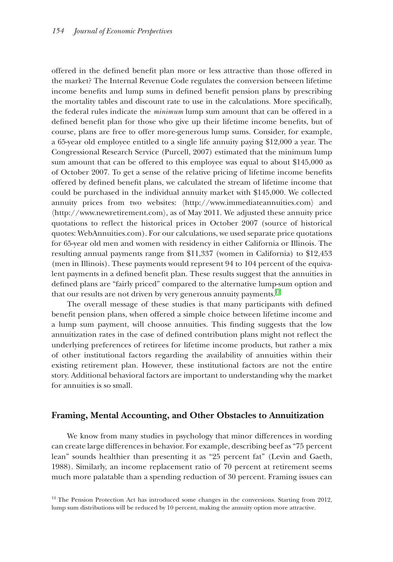offered in the defined benefit plan more or less attractive than those offered in the market? The Internal Revenue Code regulates the conversion between lifetime income benefits and lump sums in defined benefit pension plans by prescribing the mortality tables and discount rate to use in the calculations. More specifically, the federal rules indicate the *minimum* lump sum amount that can be offered in a defined benefit plan for those who give up their lifetime income benefits, but of course, plans are free to offer more-generous lump sums. Consider, for example, a 65-year old employee entitled to a single life annuity paying  $$12,000$  a year. The Congressional Research Service (Purcell, 2007) estimated that the minimum lump sum amount that can be offered to this employee was equal to about \$145,000 as of October 2007. To get a sense of the relative pricing of lifetime income benefits offered by defined benefit plans, we calculated the stream of lifetime income that could be purchased in the individual annuity market with  $$145,000$ . We collected annuity prices from two websites:  $\langle \text{http://www.immediateannuities.com} \rangle$  and  $\langle \text{http://www.newretirement.com}\rangle$ , as of May 2011. We adjusted these annuity price quotations to reflect the historical prices in October 2007 (source of historical quotes: WebAnnuities.com). For our calculations, we used separate price quotations for 65-year old men and women with residency in either California or Illinois. The resulting annual payments range from  $1,337$  (women in California) to  $12,453$  $($ men in Illinois). These payments would represent 94 to 104 percent of the equivalent payments in a defined benefit plan. These results suggest that the annuities in defined plans are "fairly priced" compared to the alternative lump-sum option and that our results are not driven by very generous annuity payments. $^{12}$ 

The overall message of these studies is that many participants with defined benefit pension plans, when offered a simple choice between lifetime income and a lump sum payment, will choose annuities. This finding suggests that the low annuitization rates in the case of defined contribution plans might not reflect the underlying preferences of retirees for lifetime income products, but rather a mix of other institutional factors regarding the availability of annuities within their existing retirement plan. However, these institutional factors are not the entire story. Additional behavioral factors are important to understanding why the market for annuities is so small.

#### **Framing, Mental Accounting, and Other Obstacles to Annuitization raming, Mental Accounting, and Other Obstacles to**

We know from many studies in psychology that minor differences in wording can create large differences in behavior. For example, describing beef as "75 percent lean" sounds healthier than presenting it as "25 percent fat" (Levin and Gaeth, 1988). Similarly, an income replacement ratio of 70 percent at retirement seems much more palatable than a spending reduction of 30 percent. Framing issues can

 $12$ <sup>12</sup> The Pension Protection Act has introduced some changes in the conversions. Starting from 2012, lump sum distributions will be reduced by 10 percent, making the annuity option more attractive.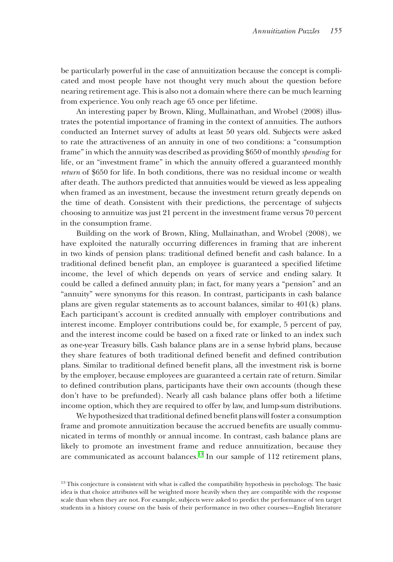be particularly powerful in the case of annuitization because the concept is complicated and most people have not thought very much about the question before nearing retirement age. This is also not a domain where there can be much learning from experience. You only reach age 65 once per lifetime.

An interesting paper by Brown, Kling, Mullainathan, and Wrobel (2008) illustrates the potential importance of framing in the context of annuities. The authors conducted an Internet survey of adults at least 50 years old. Subjects were asked to rate the attractiveness of an annuity in one of two conditions: a "consumption frame" in which the annuity was described as providing \$650 of monthly *spending* for life, or an "investment frame" in which the annuity offered a guaranteed monthly *return* of \$650 for life. In both conditions, there was no residual income or wealth after death. The authors predicted that annuities would be viewed as less appealing when framed as an investment, because the investment return greatly depends on the time of death. Consistent with their predictions, the percentage of subjects choosing to annuitize was just 21 percent in the investment frame versus 70 percent in the consumption frame.

Building on the work of Brown, Kling, Mullainathan, and Wrobel (2008), we have exploited the naturally occurring differences in framing that are inherent in two kinds of pension plans: traditional defined benefit and cash balance. In a traditional defined benefit plan, an employee is guaranteed a specified lifetime income, the level of which depends on years of service and ending salary. It could be called a defined annuity plan; in fact, for many years a "pension" and an "annuity" were synonyms for this reason. In contrast, participants in cash balance plans are given regular statements as to account balances, similar to  $401(k)$  plans. Each participant's account is credited annually with employer contributions and interest income. Employer contributions could be, for example, 5 percent of pay, and the interest income could be based on a fixed rate or linked to an index such as one-year Treasury bills. Cash balance plans are in a sense hybrid plans, because they share features of both traditional defined benefit and defined contribution plans. Similar to traditional defined benefit plans, all the investment risk is borne by the employer, because employees are guaranteed a certain rate of return. Similar to defined contribution plans, participants have their own accounts (though these don't have to be prefunded). Nearly all cash balance plans offer both a lifetime income option, which they are required to offer by law, and lump-sum distributions.

We hypothesized that traditional defined benefit plans will foster a consumption frame and promote annuitization because the accrued benefits are usually communicated in terms of monthly or annual income. In contrast, cash balance plans are likely to promote an investment frame and reduce annuitization, because they are communicated as account balances.<sup>13</sup> In our sample of  $112$  retirement plans,

<sup>&</sup>lt;sup>13</sup> This conjecture is consistent with what is called the compatibility hypothesis in psychology. The basic idea is that choice attributes will be weighted more heavily when they are compatible with the response scale than when they are not. For example, subjects were asked to predict the performance of ten target students in a history course on the basis of their performance in two other courses—English literature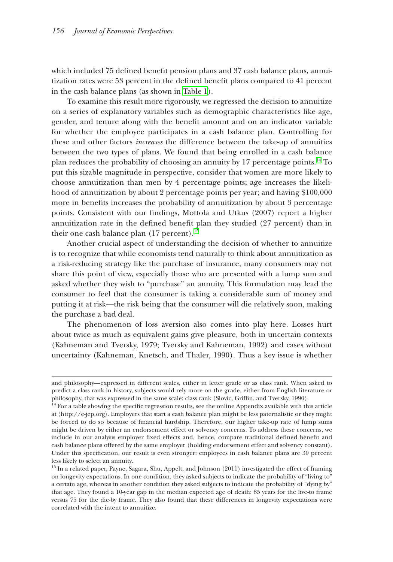which included 75 defined benefit pension plans and 37 cash balance plans, annuitization rates were 53 percent in the defined benefit plans compared to 41 percent in the cash balance plans (as shown in Table  $1$ ).

To examine this result more rigorously, we regressed the decision to annuitize on a series of explanatory variables such as demographic characteristics like age, gender, and tenure along with the benefit amount and on an indicator variable for whether the employee participates in a cash balance plan. Controlling for these and other factors *increases* the difference between the take-up of annuities between the two types of plans. We found that being enrolled in a cash balance plan reduces the probability of choosing an annuity by 17 percentage points. $^{14}$  To put this sizable magnitude in perspective, consider that women are more likely to choose annuitization than men by 4 percentage points; age increases the likeli- hoose annuitization than men by 4 percentage points; age increases the likelihood of annuitization by about 2 percentage points per year; and having \$100,000 more in benefits increases the probability of annuitization by about 3 percentage points. Consistent with our findings, Mottola and Utkus (2007) report a higher annuitization rate in the defined benefit plan they studied (27 percent) than in their one cash balance plan  $(17\,\mathrm{percent})^{15}$ 

Another crucial aspect of understanding the decision of whether to annuitize is to recognize that while economists tend naturally to think about annuitization as a risk-reducing strategy like the purchase of insurance, many consumers may not share this point of view, especially those who are presented with a lump sum and asked whether they wish to "purchase" an annuity. This formulation may lead the consumer to feel that the consumer is taking a considerable sum of money and putting it at risk—the risk being that the consumer will die relatively soon, making the purchase a bad deal.

The phenomenon of loss aversion also comes into play here. Losses hurt about twice as much as equivalent gains give pleasure, both in uncertain contexts (Kahneman and Tversky, 1979; Tversky and Kahneman, 1992) and cases without uncertainty (Kahneman, Knetsch, and Thaler, 1990). Thus a key issue is whether

and philosophy—expressed in different scales, either in letter grade or as class rank. When asked to predict a class rank in history, subjects would rely more on the grade, either from English literature or philosophy, that was expressed in the same scale: class rank (Slovic, Griffin, and Tversky, 1990).

 $14$  For a table showing the specific regression results, see the online Appendix available with this article at 〈http://e-jep.org〉. Employers that start a cash balance plan might be less paternalistic or they might be forced to do so because of financial hardship. Therefore, our higher take-up rate of lump sums might be driven by either an endorsement effect or solvency concerns. To address these concerns, we include in our analysis employer fixed effects and, hence, compare traditional defined benefit and cash balance plans offered by the same employer (holding endorsement effect and solvency constant). Under this specification, our result is even stronger: employees in cash balance plans are 30 percent less likely to select an annuity.

<sup>&</sup>lt;sup>15</sup> In a related paper, Payne, Sagara, Shu, Appelt, and Johnson (2011) investigated the effect of framing on longevity expectations. In one condition, they asked subjects to indicate the probability of "living to" a certain age, whereas in another condition they asked subjects to indicate the probability of "dying by" that age. They found a 10-year gap in the median expected age of death: 85 years for the live-to frame versus 75 for the die-by frame. They also found that these differences in longevity expectations were correlated with the intent to annuitize.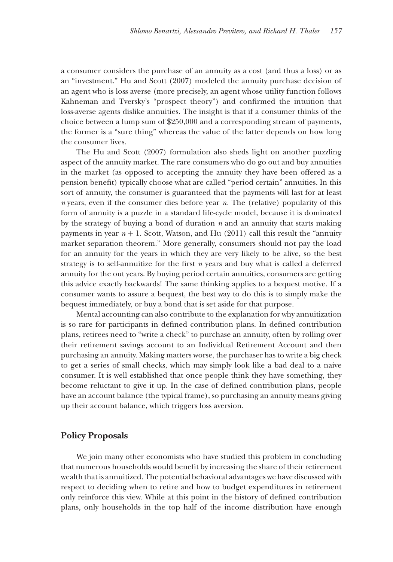a consumer considers the purchase of an annuity as a cost (and thus a loss) or as an "investment." Hu and Scott (2007) modeled the annuity purchase decision of an agent who is loss averse (more precisely, an agent whose utility function follows Kahneman and Tversky's "prospect theory") and confirmed the intuition that loss-averse agents dislike annuities. The insight is that if a consumer thinks of the choice between a lump sum of \$250,000 and a corresponding stream of payments, the former is a "sure thing" whereas the value of the latter depends on how long the consumer lives.

The Hu and Scott (2007) formulation also sheds light on another puzzling aspect of the annuity market. The rare consumers who do go out and buy annuities in the market (as opposed to accepting the annuity they have been offered as a pension benefit) typically choose what are called "period certain" annuities. In this sort of annuity, the consumer is guaranteed that the payments will last for at least  $n$  years, even if the consumer dies before year  $n$ . The (relative) popularity of this form of annuity is a puzzle in a standard life-cycle model, because it is dominated by the strategy of buying a bond of duration *n* and an annuity that starts making payments in year  $n + 1$ . Scott, Watson, and Hu (2011) call this result the "annuity market separation theorem." More generally, consumers should not pay the load for an annuity for the years in which they are very likely to be alive, so the best strategy is to self-annuitize for the first  $n$  years and buy what is called a deferred annuity for the out years. By buying period certain annuities, consumers are getting this advice exactly backwards! The same thinking applies to a bequest motive. If a consumer wants to assure a bequest, the best way to do this is to simply make the bequest immediately, or buy a bond that is set aside for that purpose.

Mental accounting can also contribute to the explanation for why annuitization is so rare for participants in defined contribution plans. In defined contribution plans, retirees need to "write a check" to purchase an annuity, often by rolling over their retirement savings account to an Individual Retirement Account and then heir retirement savings account to an Individual Retirement Account and then purchasing an annuity. Making matters worse, the purchaser has to write a big check to get a series of small checks, which may simply look like a bad deal to a naive consumer. It is well established that once people think they have something, they become reluctant to give it up. In the case of defined contribution plans, people have an account balance (the typical frame), so purchasing an annuity means giving up their account balance, which triggers loss aversion.

#### **Policy Proposals**

We join many other economists who have studied this problem in concluding that numerous households would benefit by increasing the share of their retirement wealth that is annuitized. The potential behavioral advantages we have discussed with respect to deciding when to retire and how to budget expenditures in retirement only reinforce this view. While at this point in the history of defined contribution plans, only households in the top half of the income distribution have enough lans, only households in the top half of the income distribution have enough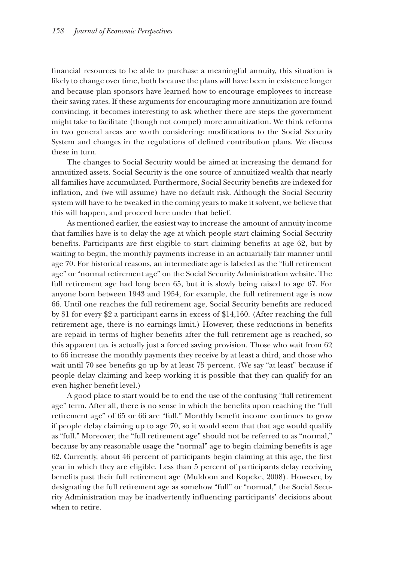financial resources to be able to purchase a meaningful annuity, this situation is likely to change over time, both because the plans will have been in existence longer and because plan sponsors have learned how to encourage employees to increase their saving rates. If these arguments for encouraging more annuitization are found convincing, it becomes interesting to ask whether there are steps the government might take to facilitate (though not compel) more annuitization. We think reforms in two general areas are worth considering: modifications to the Social Security System and changes in the regulations of defined contribution plans. We discuss these in turn.

The changes to Social Security would be aimed at increasing the demand for he changes to Social Security would be aimed at increasing the demand for annuitized assets. Social Security is the one source of annuitized wealth that nearly all families have accumulated. Furthermore, Social Security benefits are indexed for inflation, and (we will assume) have no default risk. Although the Social Security system will have to be tweaked in the coming years to make it solvent, we believe that this will happen, and proceed here under that belief.

As mentioned earlier, the easiest way to increase the amount of annuity income that families have is to delay the age at which people start claiming Social Security hat families have is to delay the age at which people start claiming Social Security benefits. Participants are first eligible to start claiming benefits at age 62, but by waiting to begin, the monthly payments increase in an actuarially fair manner until age 70. For historical reasons, an intermediate age is labeled as the "full retirement age" or "normal retirement age" on the Social Security Administration website. The full retirement age had long been 65, but it is slowly being raised to age 67. For anyone born between 1943 and 1954, for example, the full retirement age is now nyone born between 1943 and 1954, for example, the full retirement age is now 66. Until one reaches the full retirement age, Social Security benefits are reduced by \$1 for every \$2 a participant earns in excess of \$14,160. (After reaching the full retirement age, there is no earnings limit.) However, these reductions in benefits are repaid in terms of higher benefits after the full retirement age is reached, so this apparent tax is actually just a forced saving provision. Those who wait from 62 to 66 increase the monthly payments they receive by at least a third, and those who wait until 70 see benefits go up by at least 75 percent. (We say "at least" because if people delay claiming and keep working it is possible that they can qualify for an even higher benefit level.)

A good place to start would be to end the use of the confusing "full retirement" age" term. After all, there is no sense in which the benefits upon reaching the "full retirement age" of 65 or 66 are "full." Monthly benefit income continues to grow if people delay claiming up to age  $70$ , so it would seem that that age would qualify as "full." Moreover, the "full retirement age" should not be referred to as "normal," because by any reasonable usage the "normal" age to begin claiming benefits is age 62. Currently, about 46 percent of participants begin claiming at this age, the first year in which they are eligible. Less than 5 percent of participants delay receiving benefits past their full retirement age (Muldoon and Kopcke, 2008). However, by designating the full retirement age as somehow "full" or "normal," the Social Security Administration may be inadvertently influencing participants' decisions about when to retire.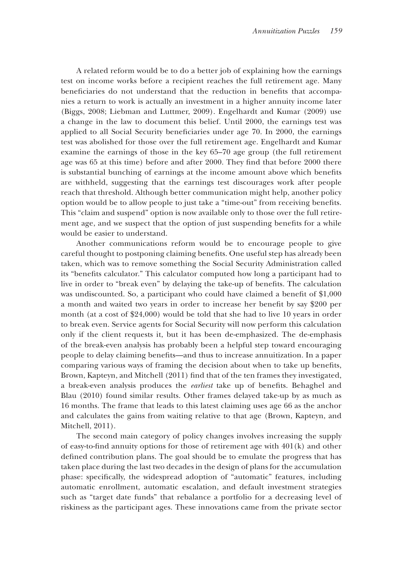A related reform would be to do a better job of explaining how the earnings test on income works before a recipient reaches the full retirement age. Many beneficiaries do not understand that the reduction in benefits that accompanies a return to work is actually an investment in a higher annuity income later (Biggs, 2008; Liebman and Luttmer, 2009). Engelhardt and Kumar (2009) use a change in the law to document this belief. Until 2000, the earnings test was applied to all Social Security beneficiaries under age 70. In 2000, the earnings test was abolished for those over the full retirement age. Engelhardt and Kumar examine the earnings of those in the key  $65-70$  age group (the full retirement age was 65 at this time) before and after 2000. They find that before 2000 there is substantial bunching of earnings at the income amount above which benefits are withheld, suggesting that the earnings test discourages work after people reach that threshold. Although better communication might help, another policy option would be to allow people to just take a "time-out" from receiving benefits. This "claim and suspend" option is now available only to those over the full retirement age, and we suspect that the option of just suspending benefits for a while would be easier to understand.

Another communications reform would be to encourage people to give careful thought to postponing claiming benefits. One useful step has already been taken, which was to remove something the Social Security Administration called its "benefits calculator." This calculator computed how long a participant had to live in order to "break even" by delaying the take-up of benefits. The calculation was undiscounted. So, a participant who could have claimed a benefit of  $$1,000$ a month and waited two years in order to increase her benefit by say \$200 per month (at a cost of  $$24,000$ ) would be told that she had to live 10 years in order to break even. Service agents for Social Security will now perform this calculation only if the client requests it, but it has been de-emphasized. The de-emphasis nly if the client requests it, but it has been de-emphasized. The de-emphasis of the break-even analysis has probably been a helpful step toward encouraging people to delay claiming benefits—and thus to increase annuitization. In a paper comparing various ways of framing the decision about when to take up benefits, Brown, Kapteyn, and Mitchell (2011) find that of the ten frames they investigated, a break-even analysis produces the *earliest* take up of benefits. Behaghel and Blau  $(2010)$  found similar results. Other frames delayed take-up by as much as 16 months. The frame that leads to this latest claiming uses age 66 as the anchor and calculates the gains from waiting relative to that age (Brown, Kapteyn, and Mitchell,  $2011$ ).

The second main category of policy changes involves increasing the supply of easy-to-find annuity options for those of retirement age with  $401(k)$  and other defined contribution plans. The goal should be to emulate the progress that has taken place during the last two decades in the design of plans for the accumulation phase: specifically, the widespread adoption of "automatic" features, including automatic enrollment, automatic escalation, and default investment strategies such as "target date funds" that rebalance a portfolio for a decreasing level of riskiness as the participant ages. These innovations came from the private sector iskiness as the participant ages. These innovations came from the private sector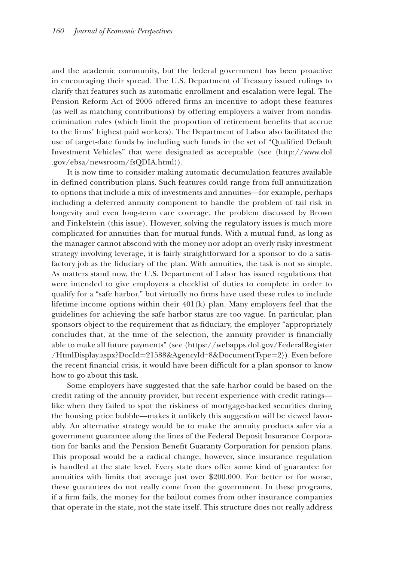and the academic community, but the federal government has been proactive in encouraging their spread. The U.S. Department of Treasury issued rulings to clarify that features such as automatic enrollment and escalation were legal. The Pension Reform Act of 2006 offered firms an incentive to adopt these features (as well as matching contributions) by offering employers a waiver from nondiscrimination rules (which limit the proportion of retirement benefits that accrue to the firms' highest paid workers). The Department of Labor also facilitated the use of target-date funds by including such funds in the set of "Qualified Default Investment Vehicles" that were designated as acceptable (see  $\langle \text{http://www.dol}$ ) .gov/ebsa/newsroom/fsQDIA.html $\rangle$ ).

It is now time to consider making automatic decumulation features available in defined contribution plans. Such features could range from full annuitization to options that include a mix of investments and annuities—for example, perhaps including a deferred annuity component to handle the problem of tail risk in longevity and even long-term care coverage, the problem discussed by Brown and Finkelstein (this issue). However, solving the regulatory issues is much more complicated for annuities than for mutual funds. With a mutual fund, as long as the manager cannot abscond with the money nor adopt an overly risky investment strategy involving leverage, it is fairly straightforward for a sponsor to do a satisfactory job as the fiduciary of the plan. With annuities, the task is not so simple. As matters stand now, the U.S. Department of Labor has issued regulations that were intended to give employers a checklist of duties to complete in order to qualify for a "safe harbor," but virtually no firms have used these rules to include lifetime income options within their  $401(k)$  plan. Many employers feel that the guidelines for achieving the safe harbor status are too vague. In particular, plan sponsors object to the requirement that as fiduciary, the employer "appropriately concludes that, at the time of the selection, the annuity provider is financially able to make all future payments" (see  $\langle$ https://webapps.dol.gov/FederalRegister  $/HtmlDishay.aspx?DocId = 21588&AgencyId = 8&DocumentType = 2).$  Even before the recent financial crisis, it would have been difficult for a plan sponsor to know how to go about this task.

Some employers have suggested that the safe harbor could be based on the credit rating of the annuity provider, but recent experience with credit ratings like when they failed to spot the riskiness of mortgage-backed securities during the housing price bubble—makes it unlikely this suggestion will be viewed favorably. An alternative strategy would be to make the annuity products safer via a bly. An alternative strategy would be to make the annuity products safer via a government guarantee along the lines of the Federal Deposit Insurance Corporation for banks and the Pension Benefit Guaranty Corporation for pension plans. This proposal would be a radical change, however, since insurance regulation his proposal would be a radical change, however, since insurance regulation is handled at the state level. Every state does offer some kind of guarantee for annuities with limits that average just over \$200,000. For better or for worse, these guarantees do not really come from the government. In these programs, if a firm fails, the money for the bailout comes from other insurance companies that operate in the state, not the state itself. This structure does not really address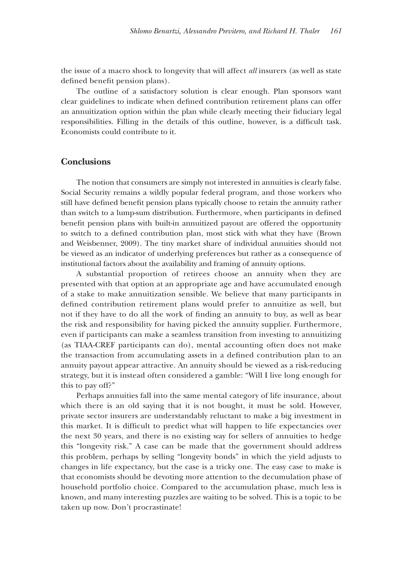the issue of a macro shock to longevity that will affect *all* insurers (as well as state defined benefit pension plans).

The outline of a satisfactory solution is clear enough. Plan sponsors want clear guidelines to indicate when defined contribution retirement plans can offer an annuitization option within the plan while clearly meeting their fiduciary legal responsibilities. Filling in the details of this outline, however, is a difficult task. Economists could contribute to it.

#### **Conclusions onclusions**

The notion that consumers are simply not interested in annuities is clearly false. Social Security remains a wildly popular federal program, and those workers who still have defined benefit pension plans typically choose to retain the annuity rather than switch to a lump-sum distribution. Furthermore, when participants in defined benefit pension plans with built-in annuitized payout are offered the opportunity to switch to a defined contribution plan, most stick with what they have (Brown and Weisbenner, 2009). The tiny market share of individual annuities should not be viewed as an indicator of underlying preferences but rather as a consequence of institutional factors about the availability and framing of annuity options.

A substantial proportion of retirees choose an annuity when they are presented with that option at an appropriate age and have accumulated enough of a stake to make annuitization sensible. We believe that many participants in defined contribution retirement plans would prefer to annuitize as well, but not if they have to do all the work of finding an annuity to buy, as well as bear the risk and responsibility for having picked the annuity supplier. Furthermore, even if participants can make a seamless transition from investing to annuitizing (as TIAA-CREF participants can do), mental accounting often does not make the transaction from accumulating assets in a defined contribution plan to an annuity payout appear attractive. An annuity should be viewed as a risk-reducing strategy, but it is instead often considered a gamble: "Will I live long enough for this to pay off?"

Perhaps annuities fall into the same mental category of life insurance, about which there is an old saying that it is not bought, it must be sold. However, private sector insurers are understandably reluctant to make a big investment in this market. It is difficult to predict what will happen to life expectancies over the next 30 years, and there is no existing way for sellers of annuities to hedge this "longevity risk." A case can be made that the government should address this problem, perhaps by selling "longevity bonds" in which the yield adjusts to changes in life expectancy, but the case is a tricky one. The easy case to make is that economists should be devoting more attention to the decumulation phase of household portfolio choice. Compared to the accumulation phase, much less is known, and many interesting puzzles are waiting to be solved. This is a topic to be taken up now. Don't procrastinate!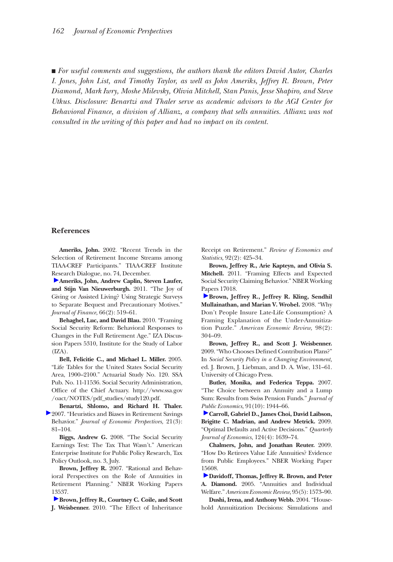■ *For useful comments and suggestions, the authors thank the editors David Autor, Charles I. Jones, John List, and Timothy Taylor, as well as John Ameriks, Jeffrey R. Brown, Peter Diamond, Mark Iwry, Moshe Milevsky, Olivia Mitchell, Stan Panis, Jesse Shapiro, and Steve Utkus. Disclosure: Benartzi and Thaler serve as academic advisors to the AGI Center for Behavioral Finance, a division of Allianz, a company that sells annuities. Allianz was not consulted in the writing of this paper and had no impact on its content.*

#### **References**

**Ameriks, John.** 2002. "Recent Trends in the Selection of Retirement Income Streams among TIAA-CREF Participants." TIAA-CREF Institute [Res](http://pubs.aeaweb.org/action/showLinks?crossref=10.1111%2Fj.1540-6261.2010.01641.x)earch Dialogue, no. 74, December.

**Ameriks, John, Andrew Caplin, Steven Laufer, and Stijn Van Nieuwerburgh.** 2011. "The Joy of Giving or Assisted Living? Using Strategic Surveys to Separate Bequest and Precautionary Motives." *Journal of Finance,* 66(2): 519–61.

**Behaghel, Luc, and David Blau.** 2010. "Framing Social Security Reform: Behavioral Responses to Changes in the Full Retirement Age." IZA Discussion Papers 5310, Institute for the Study of Labor  $(IZA).$ 

**Bell, Felicitie C., and Michael L. Miller.** 2005. "Life Tables for the United States Social Security Area, 1900–2100." Actuarial Study No. 120. SSA Pub. No. 11-11536. Social Security Administration, Office of the Chief Actuary. http://www.ssa.gov /oact/NOTES/pdf\_studies/study120.pdf.

**Benartzi, Shlomo, and Richard H. Thaler.**  2007. "Heuristics and Biases in Retirement Savings Behavior." *Journal of Economic Perspectives,* 21(3): 81–104.

**Biggs, Andrew G.** 2008. "The Social Security Earnings Test: The Tax That Wasn't." American Enterprise Institute for Public Policy Research, Tax Policy Outlook, no. 3, July.

**Brown, Jeffrey R.** 2007. "Rational and Behavioral Perspectives on the Role of Annuities in Retirement Planning." NBER Working Papers [135](http://pubs.aeaweb.org/action/showLinks?crossref=10.1162%2Frest.2010.11182)37.

**Brown, Jeffrey R., Courtney C. Coile, and Scott J. Weisbenner.** 2010. "The Effect of Inheritance

Receipt on Retirement." *Review of Economics and Statistics,* 92(2): 425–34.

**Brown, Jeffrey R., Arie Kapteyn, and Olivia S. Mitchell.** 2011. "Framing Effects and Expected Social Security Claiming Behavior." NBER Working [Pap](http://pubs.aeaweb.org/action/showLinks?system=10.1257%2Faer.98.2.304)ers 17018.

**Brown, Jeffrey R., Jeffrey R. Kling, Sendhil Mullainathan, and Marian V. Wrobel.** 2008. "Why Don't People Insure Late-Life Consumption? A Framing Explanation of the Under-Annuitization Puzzle." *American Economic Review,* 98(2): 304–09.

**Brown, Jeffrey R., and Scott J. Weisbenner.**  2009. "Who Chooses Defined Contribution Plans?" In *Social Security Policy in a Changing Environment,* ed. J. Brown, J. Liebman, and D. A. Wise, 131–61. University of Chicago Press.

**Butler, Monika, and Federica Teppa.** 2007. "The Choice between an Annuity and a Lump Sum: Results from Swiss Pension Funds." *Journal of Public Economics,* 91(10): 1944–66.

**[C](http://pubs.aeaweb.org/action/showLinks?crossref=10.1162%2Fqjec.2009.124.4.1639)arroll, Gabriel D., James Choi, David Laibson, Brigitte C. Madrian, and Andrew Metrick.** 2009. "Optimal Defaults and Active Decisions." *Quarterly Journal of Economics,* 124(4): 1639–74.

**Chalmers, John, and Jonathan Reuter.** 2009. "How Do Retirees Value Life Annuities? Evidence from Public Employees." NBER Working Paper [156](http://pubs.aeaweb.org/action/showLinks?system=10.1257%2F000282805775014281)08.

**Davidoff, Thomas, Jeffrey R. Brown, and Peter A. Diamond.** 2005. "Annuities and Individual Welfare." *American Economic Review,* 95(5): 1573–90.

**Dushi, Irena, and Anthony Webb.** 2004. "Household Annuitization Decisions: Simulations and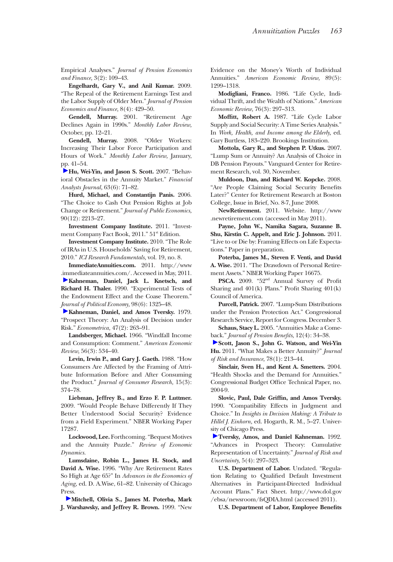Empirical Analyses." *Journal of Pension Economics and Finance,* 3(2): 109–43.

**Engelhardt, Gary V., and Anil Kumar.** 2009. "The Repeal of the Retirement Earnings Test and the Labor Supply of Older Men." *Journal of Pension Economics and Finance,* 8(4): 429–50.

**Gendell, Murray.** 2001. "Retirement Age Declines Again in 1990s." *Monthly Labor Review,* October, pp. 12–21.

**Gendell, Murray.** 2008. "Older Workers: Increasing Their Labor Force Participation and Hours of Work." *Monthly Labor Review,* January, [pp.](http://pubs.aeaweb.org/action/showLinks?crossref=10.2469%2Ffaj.v63.n6.4928) 41–54.

**Hu, Wei-Yin, and Jason S. Scott.** 2007. "Behavioral Obstacles in the Annuity Market." *Financial Analysts Journal,* 63(6): 71–82.

**Hurd, Michael, and Constantijn Panis.** 2006. "The Choice to Cash Out Pension Rights at Job Change or Retirement." *Journal of Public Economics,* 90(12): 2213–27.

**Investment Company Institute.** 2011. "Investment Company Fact Book, 2011." 51<sup>st</sup> Edition.

**Investment Company Institute.** 2010. "The Role of IRAs in U.S. Households' Saving for Retirement, 2010." *ICI Research Fundamentals,* vol. 19, no. 8.

**ImmediateAnnuities.com.** 2011. http://www [.im](http://pubs.aeaweb.org/action/showLinks?crossref=10.1086%2F261737)mediateannuities.com/. Accessed in May, 2011. **Kahneman, Daniel, Jack L. Knetsch, and** 

**Richard H. Thaler.** 1990. "Experimental Tests of the Endowment Effect and the Coase Theorem." *[Jou](http://pubs.aeaweb.org/action/showLinks?crossref=10.2307%2F1914185)rnal of Political Economy,* 98(6): 1325–48.

**Kahneman, Daniel, and Amos Tversky.** 1979. "Prospect Theory: An Analysis of Decision under Risk." *Econometrica,* 47(2): 263–91.

**Landsberger, Michael.** 1966. "Windfall Income and Consumption: Comment." *American Economic Review,* 56(3): 534–40.

**Levin, Irwin P., and Gary J. Gaeth.** 1988. "How Consumers Are Affected by the Framing of Attribute Information Before and After Consuming the Product." *Journal of Consumer Research,* 15(3): 374–78.

**Liebman, Jeffrey B., and Erzo F. P. Luttmer.**  2009. "Would People Behave Differently If They Better Understood Social Security? Evidence from a Field Experiment." NBER Working Paper 17287.

**Lockwood, Lee.** Forthcoming. "Bequest Motives and the Annuity Puzzle." *Review of Economic Dynamics.*

**Lumsdaine, Robin L., James H. Stock, and David A. Wise.** 1996. "Why Are Retirement Rates So High at Age 65?" In *Advances in the Economics of Aging,* ed. D. A.Wise, 61–82. University of Chicago Press.

 **[M](http://pubs.aeaweb.org/action/showLinks?system=10.1257%2Faer.89.5.1299)itchell, Olivia S., James M. Poterba, Mark J. Warshawsky, and Jeffrey R. Brown.** 1999. "New Evidence on the Money's Worth of Individual Annuities." *American Economic Review,* 89(5): 1299–1318.

**Modigliani, Franco.** 1986. "Life Cycle, Individual Thrift, and the Wealth of Nations." *American Economic Review,* 76(3): 297–313.

Moffitt, Robert A. 1987. "Life Cycle Labor Supply and Social Security: A Time Series Analysis." In *Work, Health, and Income among the Elderly,* ed. Gary Burtless, 183–220. Brookings Institution.

**Mottola, Gary R., and Stephen P. Utkus.** 2007. "Lump Sum or Annuity? An Analysis of Choice in DB Pension Payouts." Vanguard Center for Retirement Research, vol. 30, November.

**Muldoon, Dan, and Richard W. Kopcke.** 2008. "Are People Claiming Social Security Benefits Later?" Center for Retirement Research at Boston College, Issue in Brief, No. 8-7, June 2008.

**NewRetirement.** 2011. Website. http://www .newretirement.com (accessed in May 2011).

**Payne, John W., Namika Sagara, Suzanne B. Shu, Kirstin C. Appelt, and Eric J. Johnson.** 2011. "Live to or Die by: Framing Effects on Life Expectations." Paper in preparation.

**Poterba, James M., Steven F. Venti, and David A. Wise.** 2011. "The Drawdown of Personal Retirement Assets." NBER Working Paper 16675.

PSCA. 2009. "52<sup>nd</sup> Annual Survey of Profit Sharing and  $401(k)$  Plans." Profit Sharing  $401(k)$ Council of America.

**Purcell, Patrick.** 2007. "Lump-Sum Distributions under the Pension Protection Act." Congressional Research Service, Report for Congress. December 3.

**Schaus, Stacy L.** 2005. "Annuities Make a Come[bac](http://pubs.aeaweb.org/action/showLinks?crossref=10.1111%2Fj.1539-6975.2010.01381.x)k." *Journal of Pension Benefits*, 12(4): 34-38.

**Scott, Jason S., John G. Watson, and Wei-Yin Hu.** 2011. "What Makes a Better Annuity?" *Journal of Risk and Insurance,* 78(1): 213–44.

**Sinclair, Sven H., and Kent A. Smetters.** 2004. "Health Shocks and the Demand for Annuities." Congressional Budget Office Technical Paper, no. 2004-9.

Slovic, Paul, Dale Griffin, and Amos Tversky. 1990. "Compatibility Effects in Judgment and Choice." In *Insights in Decision Making: A Tribute to Hillel J. Einhorn,* ed. Hogarth, R. M., 5–27. Univer[sity](http://pubs.aeaweb.org/action/showLinks?crossref=10.1007%2FBF00122574) of Chicago Press.

**Tversky, Amos, and Daniel Kahneman.** 1992. "Advances in Prospect Theory: Cumulative Representation of Uncertainty." *Journal of Risk and Uncertainty,* 5(4): 297–323.

**U.S. Department of Labor.** Undated. "Regulation Relating to Qualified Default Investment Alternatives in Participant-Directed Individual Account Plans." Fact Sheet. http://www.dol.gov /ebsa/newsroom/fsQDIA.html (accessed 2011).

**U.S. Department of Labor, Employee Benefits**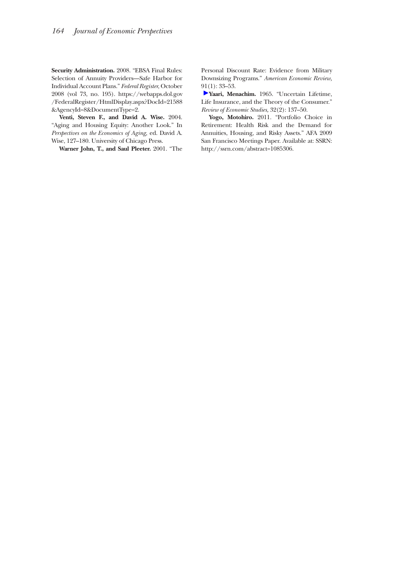**Security Administration.** 2008. "EBSA Final Rules: Selection of Annuity Providers—Safe Harbor for Individual Account Plans." *Federal Register*, October 2008 (vol 73, no. 195). https://webapps.dol.gov /FederalRegister/HtmlDisplay.aspx?DocId=21588 &AgencyId=8&DocumentType=2.

**Venti, Steven F., and David A. Wise.** 2004. "Aging and Housing Equity: Another Look." In *Perspectives on the Economics of Aging,* ed. David A. Wise, 127–180. University of Chicago Press.

**Warner John, T., and Saul Pleeter.** 2001. "The

Personal Discount Rate: Evidence from Military Downsizing Programs." *American Economic Review,* [91\(](http://pubs.aeaweb.org/action/showLinks?crossref=10.2307%2F2296058)1): 33–53.

**Yaari, Menachim.** 1965. "Uncertain Lifetime, Life Insurance, and the Theory of the Consumer." *Review of Economic Studies,* 32(2): 137–50.

**Yogo, Motohiro.** 2011. "Portfolio Choice in Retirement: Health Risk and the Demand for Annuities, Housing, and Risky Assets." AFA 2009 San Francisco Meetings Paper. Available at: SSRN: http://ssrn.com/abstract=1085306.